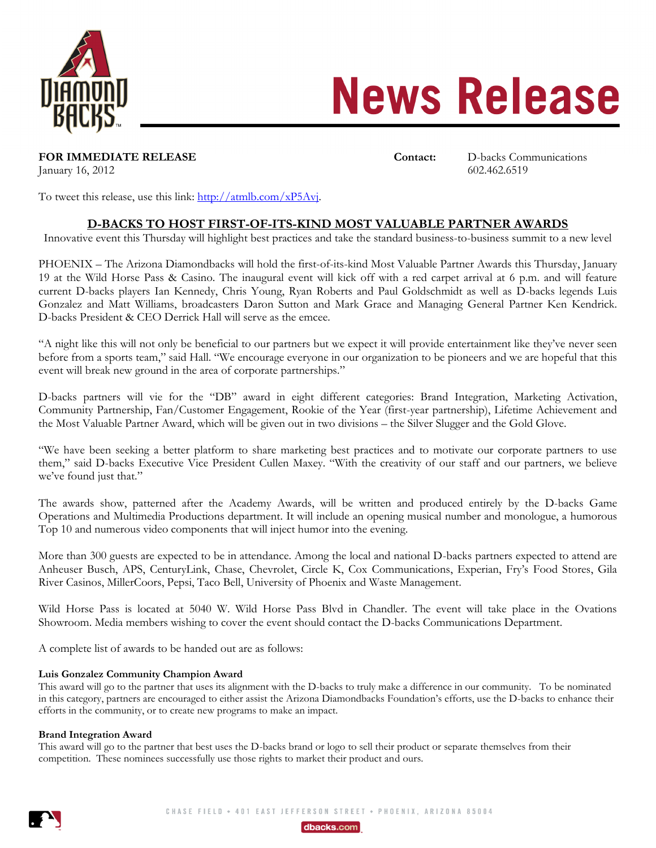

# **News Release**

**FOR IMMEDIATE RELEASE CONTACT:** Contact: D-backs Communications

January 16, 2012 [602.462.6519](mailto:jrawitch@dbacks.com)

To tweet this release, use this link: [http://atmlb.com/xP5Avj.](http://atmlb.com/xP5Avj)

## **D-BACKS TO HOST FIRST-OF-ITS-KIND MOST VALUABLE PARTNER AWARDS**

Innovative event this Thursday will highlight best practices and take the standard business-to-business summit to a new level

PHOENIX – The Arizona Diamondbacks will hold the first-of-its-kind Most Valuable Partner Awards this Thursday, January 19 at the Wild Horse Pass & Casino. The inaugural event will kick off with a red carpet arrival at 6 p.m. and will feature current D-backs players Ian Kennedy, Chris Young, Ryan Roberts and Paul Goldschmidt as well as D-backs legends Luis Gonzalez and Matt Williams, broadcasters Daron Sutton and Mark Grace and Managing General Partner Ken Kendrick. D-backs President & CEO Derrick Hall will serve as the emcee.

"A night like this will not only be beneficial to our partners but we expect it will provide entertainment like they've never seen before from a sports team," said Hall. "We encourage everyone in our organization to be pioneers and we are hopeful that this event will break new ground in the area of corporate partnerships."

D-backs partners will vie for the "DB" award in eight different categories: Brand Integration, Marketing Activation, Community Partnership, Fan/Customer Engagement, Rookie of the Year (first-year partnership), Lifetime Achievement and the Most Valuable Partner Award, which will be given out in two divisions – the Silver Slugger and the Gold Glove.

"We have been seeking a better platform to share marketing best practices and to motivate our corporate partners to use them," said D-backs Executive Vice President Cullen Maxey. "With the creativity of our staff and our partners, we believe we've found just that."

The awards show, patterned after the Academy Awards, will be written and produced entirely by the D-backs Game Operations and Multimedia Productions department. It will include an opening musical number and monologue, a humorous Top 10 and numerous video components that will inject humor into the evening.

More than 300 guests are expected to be in attendance. Among the local and national D-backs partners expected to attend are Anheuser Busch, APS, CenturyLink, Chase, Chevrolet, Circle K, Cox Communications, Experian, Fry's Food Stores, Gila River Casinos, MillerCoors, Pepsi, Taco Bell, University of Phoenix and Waste Management.

Wild Horse Pass is located at 5040 W. Wild Horse Pass Blvd in Chandler. The event will take place in the Ovations Showroom. Media members wishing to cover the event should contact the D-backs Communications Department.

A complete list of awards to be handed out are as follows:

## **Luis Gonzalez Community Champion Award**

This award will go to the partner that uses its alignment with the D-backs to truly make a difference in our community. To be nominated in this category, partners are encouraged to either assist the Arizona Diamondbacks Foundation's efforts, use the D-backs to enhance their efforts in the community, or to create new programs to make an impact.

### **Brand Integration Award**

This award will go to the partner that best uses the D-backs brand or logo to sell their product or separate themselves from their competition. These nominees successfully use those rights to market their product and ours.